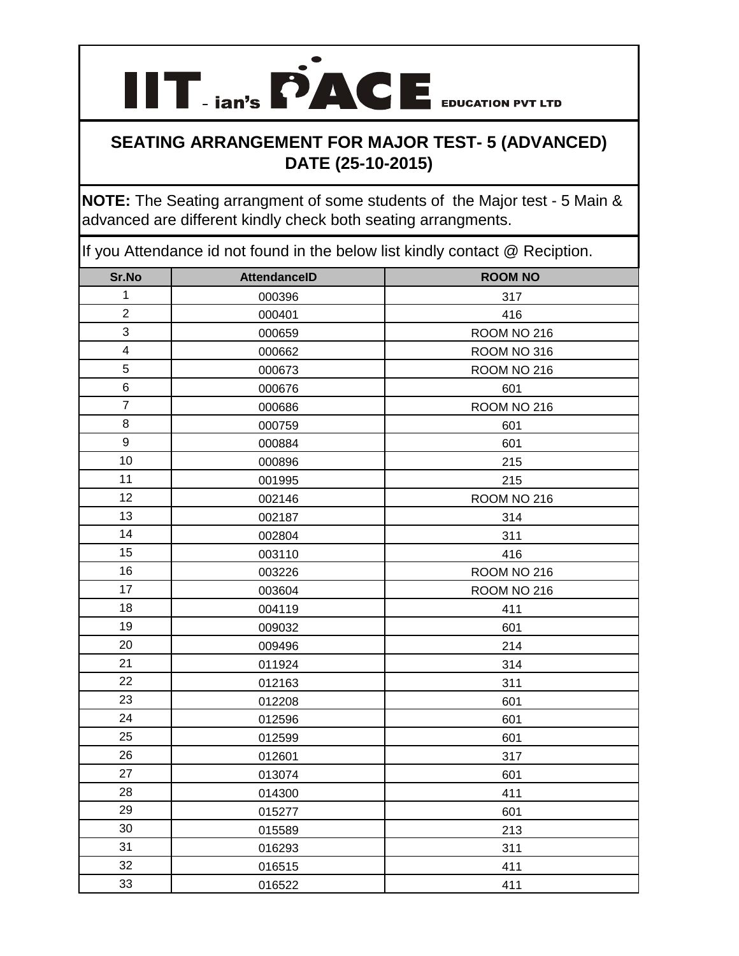

**NOTE:** The Seating arrangment of some students of the Major test - 5 Main & advanced are different kindly check both seating arrangments.

| Sr.No                   | <b>AttendanceID</b> | <b>ROOM NO</b> |
|-------------------------|---------------------|----------------|
| $\mathbf 1$             | 000396              | 317            |
| $\overline{2}$          | 000401              | 416            |
| 3                       | 000659              | ROOM NO 216    |
| $\overline{\mathbf{4}}$ | 000662              | ROOM NO 316    |
| 5                       | 000673              | ROOM NO 216    |
| 6                       | 000676              | 601            |
| $\overline{7}$          | 000686              | ROOM NO 216    |
| 8                       | 000759              | 601            |
| 9                       | 000884              | 601            |
| 10                      | 000896              | 215            |
| 11                      | 001995              | 215            |
| 12                      | 002146              | ROOM NO 216    |
| 13                      | 002187              | 314            |
| 14                      | 002804              | 311            |
| 15                      | 003110              | 416            |
| 16                      | 003226              | ROOM NO 216    |
| 17                      | 003604              | ROOM NO 216    |
| 18                      | 004119              | 411            |
| 19                      | 009032              | 601            |
| 20                      | 009496              | 214            |
| 21                      | 011924              | 314            |
| 22                      | 012163              | 311            |
| 23                      | 012208              | 601            |
| 24                      | 012596              | 601            |
| 25                      | 012599              | 601            |
| 26                      | 012601              | 317            |
| 27                      | 013074              | 601            |
| 28                      | 014300              | 411            |
| 29                      | 015277              | 601            |
| 30                      | 015589              | 213            |
| 31                      | 016293              | 311            |
| 32                      | 016515              | 411            |
| 33                      | 016522              | 411            |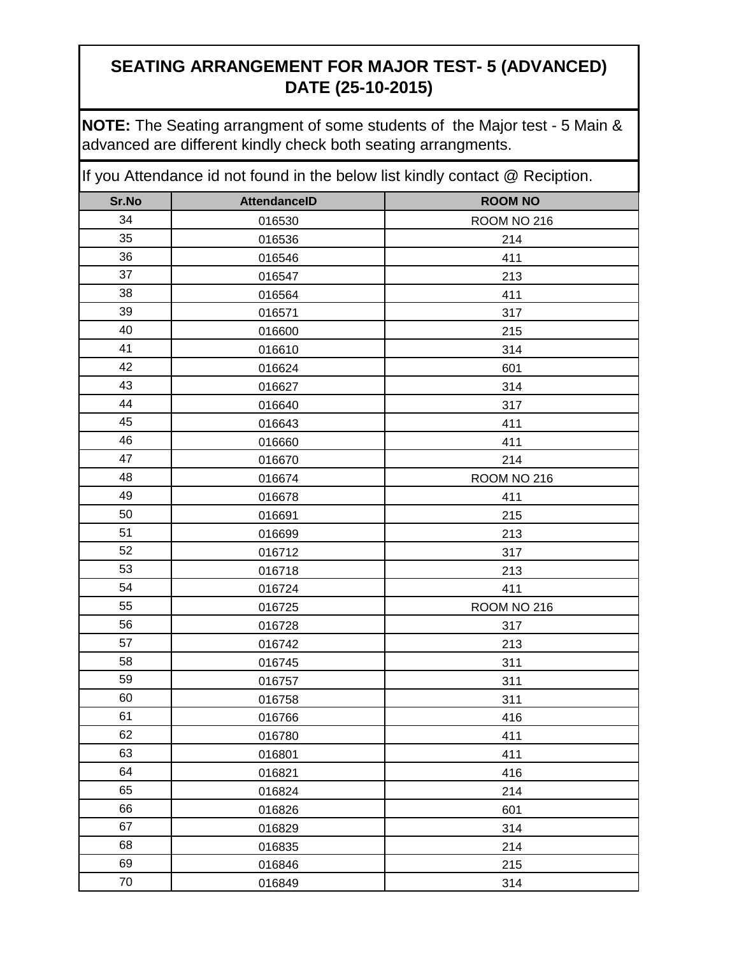**NOTE:** The Seating arrangment of some students of the Major test - 5 Main & advanced are different kindly check both seating arrangments.

| Sr.No | <b>AttendanceID</b> | <b>ROOM NO</b> |
|-------|---------------------|----------------|
| 34    | 016530              | ROOM NO 216    |
| 35    | 016536              | 214            |
| 36    | 016546              | 411            |
| 37    | 016547              | 213            |
| 38    | 016564              | 411            |
| 39    | 016571              | 317            |
| 40    | 016600              | 215            |
| 41    | 016610              | 314            |
| 42    | 016624              | 601            |
| 43    | 016627              | 314            |
| 44    | 016640              | 317            |
| 45    | 016643              | 411            |
| 46    | 016660              | 411            |
| 47    | 016670              | 214            |
| 48    | 016674              | ROOM NO 216    |
| 49    | 016678              | 411            |
| 50    | 016691              | 215            |
| 51    | 016699              | 213            |
| 52    | 016712              | 317            |
| 53    | 016718              | 213            |
| 54    | 016724              | 411            |
| 55    | 016725              | ROOM NO 216    |
| 56    | 016728              | 317            |
| 57    | 016742              | 213            |
| 58    | 016745              | 311            |
| 59    | 016757              | 311            |
| 60    | 016758              | 311            |
| 61    | 016766              | 416            |
| 62    | 016780              | 411            |
| 63    | 016801              | 411            |
| 64    | 016821              | 416            |
| 65    | 016824              | 214            |
| 66    | 016826              | 601            |
| 67    | 016829              | 314            |
| 68    | 016835              | 214            |
| 69    | 016846              | 215            |
| 70    | 016849              | 314            |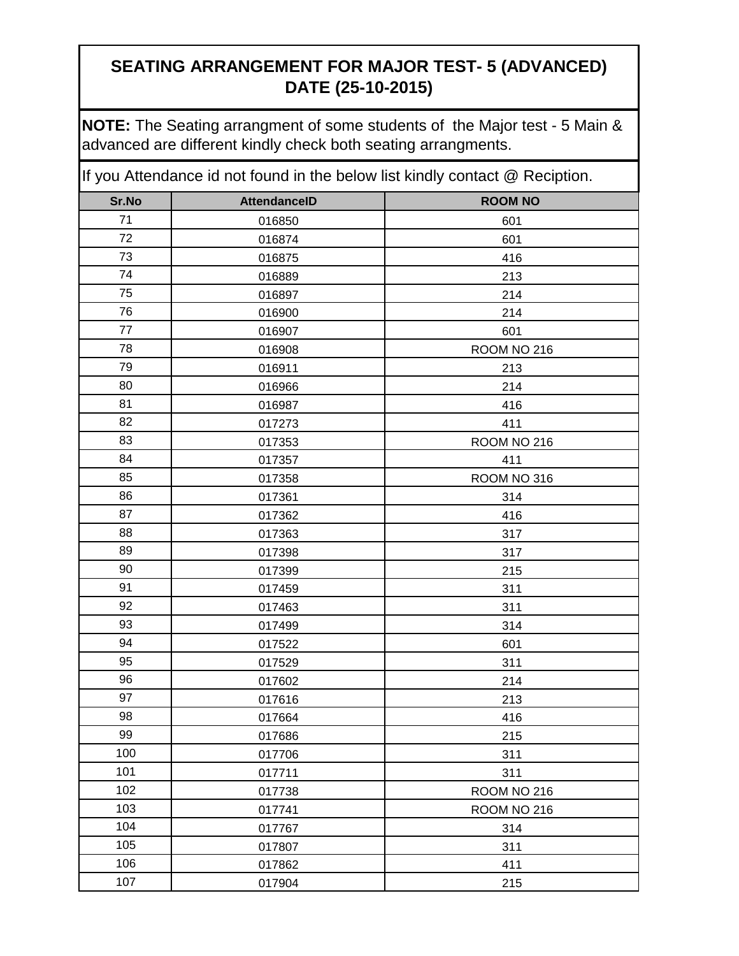**NOTE:** The Seating arrangment of some students of the Major test - 5 Main & advanced are different kindly check both seating arrangments.

| Sr.No | <b>AttendanceID</b> | <b>ROOM NO</b> |
|-------|---------------------|----------------|
| 71    | 016850              | 601            |
| 72    | 016874              | 601            |
| 73    | 016875              | 416            |
| 74    | 016889              | 213            |
| 75    | 016897              | 214            |
| 76    | 016900              | 214            |
| 77    | 016907              | 601            |
| 78    | 016908              | ROOM NO 216    |
| 79    | 016911              | 213            |
| 80    | 016966              | 214            |
| 81    | 016987              | 416            |
| 82    | 017273              | 411            |
| 83    | 017353              | ROOM NO 216    |
| 84    | 017357              | 411            |
| 85    | 017358              | ROOM NO 316    |
| 86    | 017361              | 314            |
| 87    | 017362              | 416            |
| 88    | 017363              | 317            |
| 89    | 017398              | 317            |
| 90    | 017399              | 215            |
| 91    | 017459              | 311            |
| 92    | 017463              | 311            |
| 93    | 017499              | 314            |
| 94    | 017522              | 601            |
| 95    | 017529              | 311            |
| 96    | 017602              | 214            |
| 97    | 017616              | 213            |
| 98    | 017664              | 416            |
| 99    | 017686              | 215            |
| 100   | 017706              | 311            |
| 101   | 017711              | 311            |
| 102   | 017738              | ROOM NO 216    |
| 103   | 017741              | ROOM NO 216    |
| 104   | 017767              | 314            |
| 105   | 017807              | 311            |
| 106   | 017862              | 411            |
| 107   | 017904              | 215            |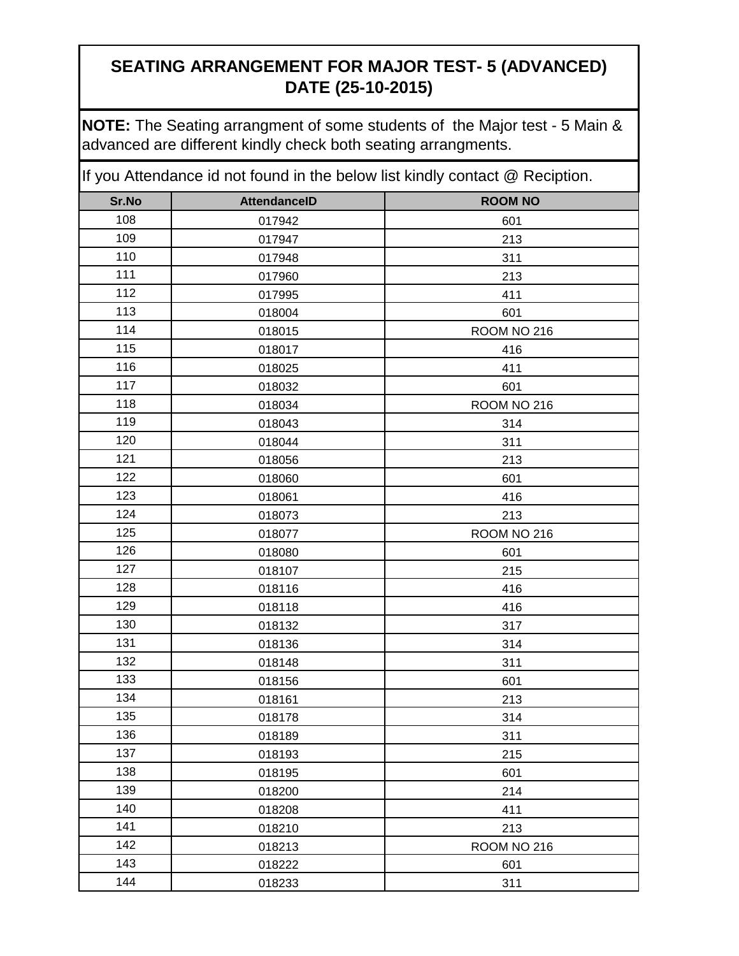**NOTE:** The Seating arrangment of some students of the Major test - 5 Main & advanced are different kindly check both seating arrangments.

| Sr.No | <b>AttendanceID</b> | <b>ROOM NO</b> |
|-------|---------------------|----------------|
| 108   | 017942              | 601            |
| 109   | 017947              | 213            |
| 110   | 017948              | 311            |
| 111   | 017960              | 213            |
| 112   | 017995              | 411            |
| 113   | 018004              | 601            |
| 114   | 018015              | ROOM NO 216    |
| 115   | 018017              | 416            |
| 116   | 018025              | 411            |
| 117   | 018032              | 601            |
| 118   | 018034              | ROOM NO 216    |
| 119   | 018043              | 314            |
| 120   | 018044              | 311            |
| 121   | 018056              | 213            |
| 122   | 018060              | 601            |
| 123   | 018061              | 416            |
| 124   | 018073              | 213            |
| 125   | 018077              | ROOM NO 216    |
| 126   | 018080              | 601            |
| 127   | 018107              | 215            |
| 128   | 018116              | 416            |
| 129   | 018118              | 416            |
| 130   | 018132              | 317            |
| 131   | 018136              | 314            |
| 132   | 018148              | 311            |
| 133   | 018156              | 601            |
| 134   | 018161              | 213            |
| 135   | 018178              | 314            |
| 136   | 018189              | 311            |
| 137   | 018193              | 215            |
| 138   | 018195              | 601            |
| 139   | 018200              | 214            |
| 140   | 018208              | 411            |
| 141   | 018210              | 213            |
| 142   | 018213              | ROOM NO 216    |
| 143   | 018222              | 601            |
| 144   | 018233              | 311            |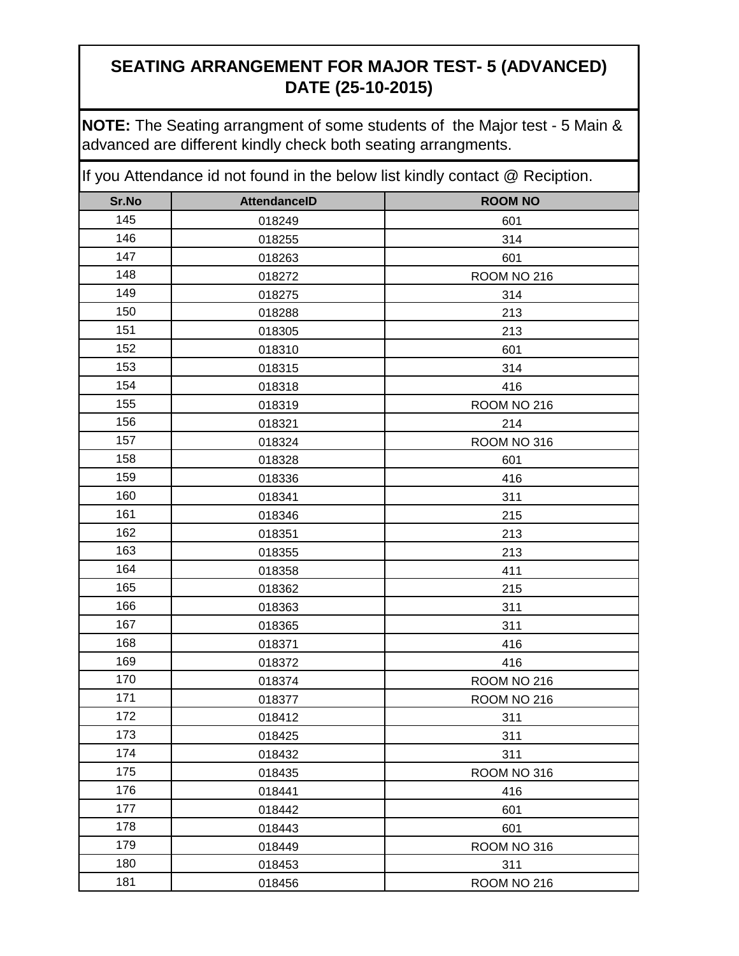**NOTE:** The Seating arrangment of some students of the Major test - 5 Main & advanced are different kindly check both seating arrangments.

| Sr.No | <b>AttendanceID</b> | <b>ROOM NO</b> |
|-------|---------------------|----------------|
| 145   | 018249              | 601            |
| 146   | 018255              | 314            |
| 147   | 018263              | 601            |
| 148   | 018272              | ROOM NO 216    |
| 149   | 018275              | 314            |
| 150   | 018288              | 213            |
| 151   | 018305              | 213            |
| 152   | 018310              | 601            |
| 153   | 018315              | 314            |
| 154   | 018318              | 416            |
| 155   | 018319              | ROOM NO 216    |
| 156   | 018321              | 214            |
| 157   | 018324              | ROOM NO 316    |
| 158   | 018328              | 601            |
| 159   | 018336              | 416            |
| 160   | 018341              | 311            |
| 161   | 018346              | 215            |
| 162   | 018351              | 213            |
| 163   | 018355              | 213            |
| 164   | 018358              | 411            |
| 165   | 018362              | 215            |
| 166   | 018363              | 311            |
| 167   | 018365              | 311            |
| 168   | 018371              | 416            |
| 169   | 018372              | 416            |
| 170   | 018374              | ROOM NO 216    |
| 171   | 018377              | ROOM NO 216    |
| 172   | 018412              | 311            |
| 173   | 018425              | 311            |
| 174   | 018432              | 311            |
| 175   | 018435              | ROOM NO 316    |
| 176   | 018441              | 416            |
| 177   | 018442              | 601            |
| 178   | 018443              | 601            |
| 179   | 018449              | ROOM NO 316    |
| 180   | 018453              | 311            |
| 181   | 018456              | ROOM NO 216    |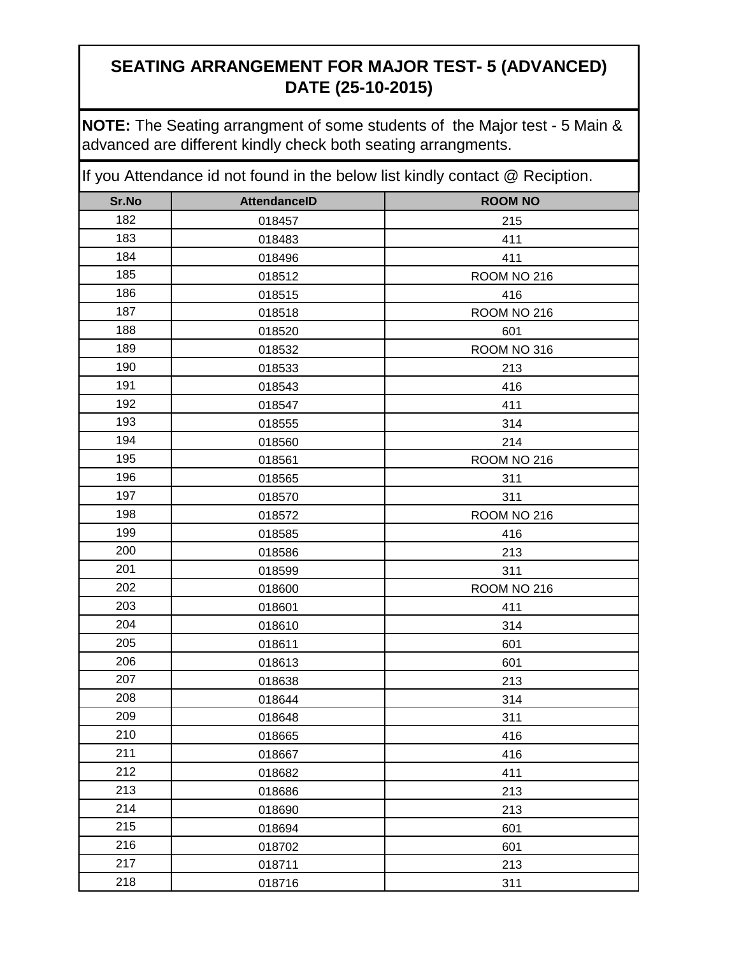**NOTE:** The Seating arrangment of some students of the Major test - 5 Main & advanced are different kindly check both seating arrangments.

| Sr.No | <b>AttendanceID</b> | <b>ROOM NO</b> |
|-------|---------------------|----------------|
| 182   | 018457              | 215            |
| 183   | 018483              | 411            |
| 184   | 018496              | 411            |
| 185   | 018512              | ROOM NO 216    |
| 186   | 018515              | 416            |
| 187   | 018518              | ROOM NO 216    |
| 188   | 018520              | 601            |
| 189   | 018532              | ROOM NO 316    |
| 190   | 018533              | 213            |
| 191   | 018543              | 416            |
| 192   | 018547              | 411            |
| 193   | 018555              | 314            |
| 194   | 018560              | 214            |
| 195   | 018561              | ROOM NO 216    |
| 196   | 018565              | 311            |
| 197   | 018570              | 311            |
| 198   | 018572              | ROOM NO 216    |
| 199   | 018585              | 416            |
| 200   | 018586              | 213            |
| 201   | 018599              | 311            |
| 202   | 018600              | ROOM NO 216    |
| 203   | 018601              | 411            |
| 204   | 018610              | 314            |
| 205   | 018611              | 601            |
| 206   | 018613              | 601            |
| 207   | 018638              | 213            |
| 208   | 018644              | 314            |
| 209   | 018648              | 311            |
| 210   | 018665              | 416            |
| 211   | 018667              | 416            |
| 212   | 018682              | 411            |
| 213   | 018686              | 213            |
| 214   | 018690              | 213            |
| 215   | 018694              | 601            |
| 216   | 018702              | 601            |
| 217   | 018711              | 213            |
| 218   | 018716              | 311            |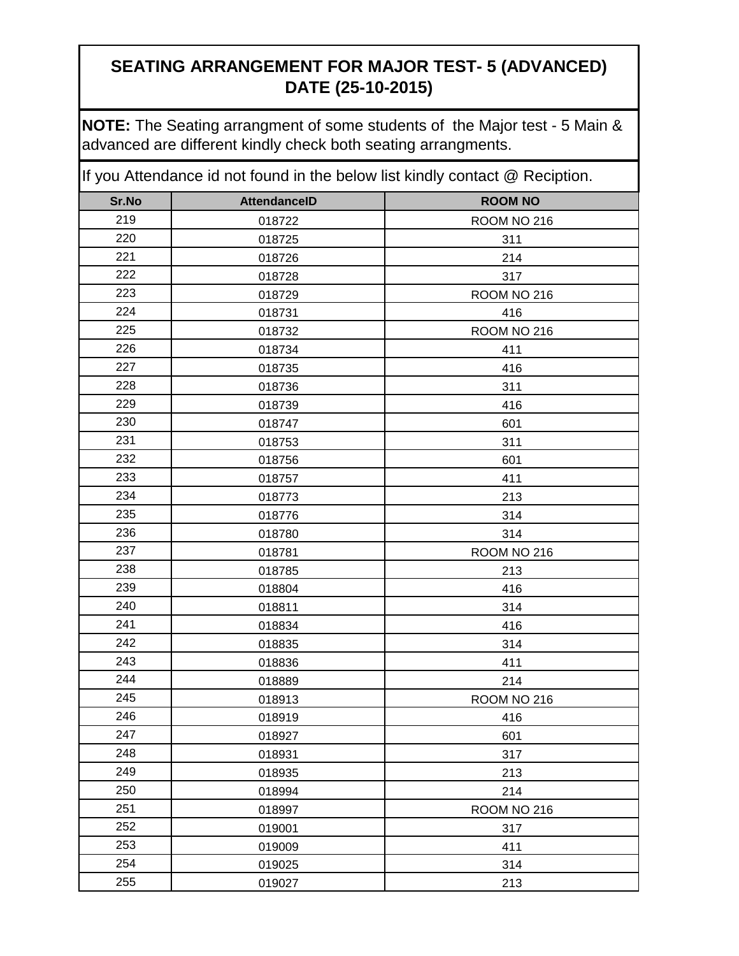**NOTE:** The Seating arrangment of some students of the Major test - 5 Main & advanced are different kindly check both seating arrangments.

| Sr.No | <b>AttendanceID</b> | <b>ROOM NO</b> |
|-------|---------------------|----------------|
| 219   | 018722              | ROOM NO 216    |
| 220   | 018725              | 311            |
| 221   | 018726              | 214            |
| 222   | 018728              | 317            |
| 223   | 018729              | ROOM NO 216    |
| 224   | 018731              | 416            |
| 225   | 018732              | ROOM NO 216    |
| 226   | 018734              | 411            |
| 227   | 018735              | 416            |
| 228   | 018736              | 311            |
| 229   | 018739              | 416            |
| 230   | 018747              | 601            |
| 231   | 018753              | 311            |
| 232   | 018756              | 601            |
| 233   | 018757              | 411            |
| 234   | 018773              | 213            |
| 235   | 018776              | 314            |
| 236   | 018780              | 314            |
| 237   | 018781              | ROOM NO 216    |
| 238   | 018785              | 213            |
| 239   | 018804              | 416            |
| 240   | 018811              | 314            |
| 241   | 018834              | 416            |
| 242   | 018835              | 314            |
| 243   | 018836              | 411            |
| 244   | 018889              | 214            |
| 245   | 018913              | ROOM NO 216    |
| 246   | 018919              | 416            |
| 247   | 018927              | 601            |
| 248   | 018931              | 317            |
| 249   | 018935              | 213            |
| 250   | 018994              | 214            |
| 251   | 018997              | ROOM NO 216    |
| 252   | 019001              | 317            |
| 253   | 019009              | 411            |
| 254   | 019025              | 314            |
| 255   | 019027              | 213            |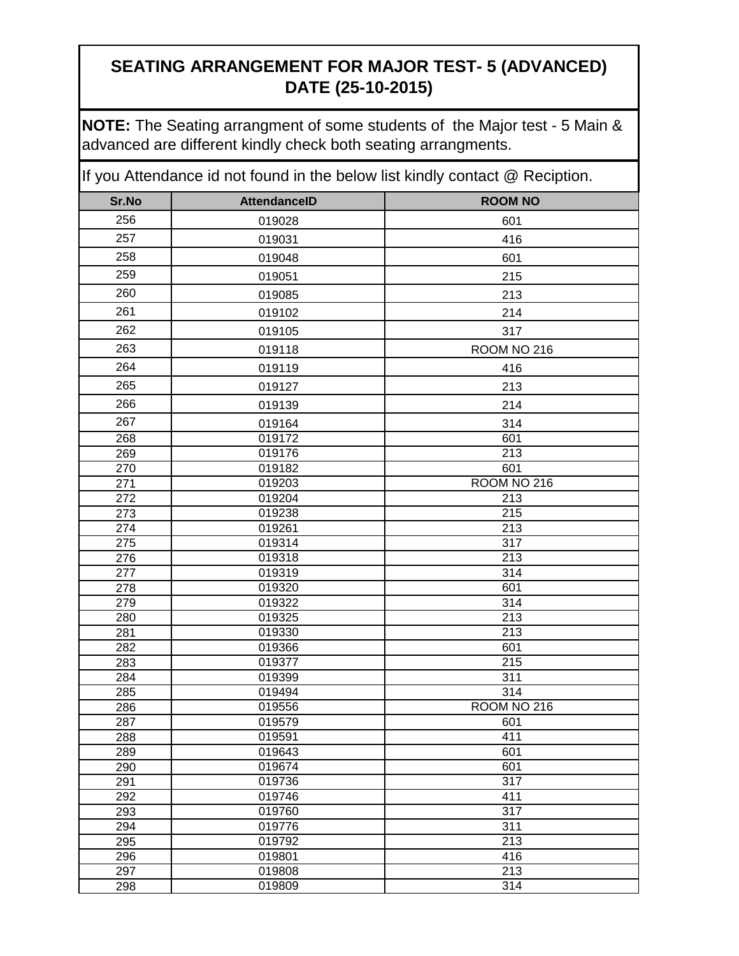**NOTE:** The Seating arrangment of some students of the Major test - 5 Main & advanced are different kindly check both seating arrangments.

| Sr.No                   | <b>AttendanceID</b> | <b>ROOM NO</b>   |
|-------------------------|---------------------|------------------|
| 256                     | 019028              | 601              |
| 257                     | 019031              | 416              |
| 258                     | 019048              | 601              |
| 259                     | 019051              | 215              |
| 260                     | 019085              | 213              |
| 261                     | 019102              | 214              |
| 262                     | 019105              | 317              |
| 263                     | 019118              | ROOM NO 216      |
| 264                     | 019119              | 416              |
| 265                     |                     |                  |
|                         | 019127              | 213              |
| 266                     | 019139              | 214              |
| 267                     | 019164              | 314              |
| 268                     | 019172              | 601              |
| 269                     | 019176              | 213              |
| 270                     | 019182              | 601              |
| 271                     | 019203              | ROOM NO 216      |
| $\overline{272}$<br>273 | 019204              | 213<br>215       |
| 274                     | 019238<br>019261    | 213              |
| 275                     | 019314              | 317              |
| 276                     | 019318              | $\overline{213}$ |
| $\overline{277}$        | 019319              | 314              |
| 278                     | 019320              | 601              |
| 279                     | 019322              | $\overline{314}$ |
| 280                     | 019325              | $\overline{213}$ |
| 281                     | 019330              | $\overline{213}$ |
| 282                     | 019366              | 601              |
| 283                     | 019377              | $\overline{215}$ |
| 284                     | 019399              | 311              |
| 285                     | 019494              | 314              |
| 286                     | 019556              | ROOM NO 216      |
| 287                     | 019579              | 601              |
| 288                     | 019591              | 411              |
| 289                     | 019643              | 601              |
| 290                     | 019674              | 601              |
| 291                     | 019736              | $\overline{317}$ |
| 292                     | 019746              | 411              |
| 293                     | 019760              | 317              |
| 294                     | 019776              | 311              |
| 295                     | 019792              | 213              |
| 296                     | 019801              | 416              |
| 297                     | 019808              | 213              |
| 298                     | 019809              | 314              |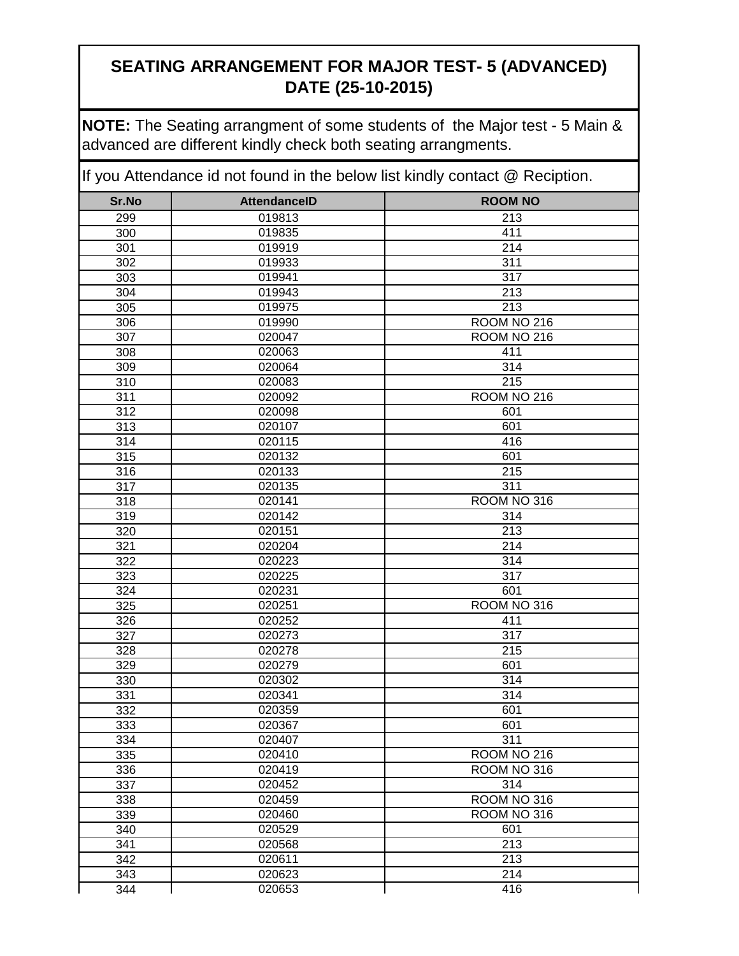**NOTE:** The Seating arrangment of some students of the Major test - 5 Main & advanced are different kindly check both seating arrangments.

| Sr.No            | <b>AttendanceID</b> | <b>ROOM NO</b>   |
|------------------|---------------------|------------------|
| 299              | 019813              | 213              |
| 300              | 019835              | 411              |
| 301              | 019919              | 214              |
| 302              | 019933              | 311              |
| 303              | 019941              | 317              |
| 304              | 019943              | 213              |
| 305              | 019975              | 213              |
| 306              | 019990              | ROOM NO 216      |
| 307              | 020047              | ROOM NO 216      |
| 308              | 020063              | 411              |
| 309              | 020064              | 314              |
| 310              | 020083              | 215              |
| $\overline{311}$ | 020092              | ROOM NO 216      |
| $\overline{312}$ | 020098              | 601              |
| $\overline{313}$ | 020107              | 601              |
| 314              | 020115              | 416              |
| 315              | 020132              | 601              |
| 316              | 020133              | 215              |
| 317              | 020135              | 311              |
| 318              | 020141              | ROOM NO 316      |
| 319              | 020142              | $\overline{3}14$ |
| 320              | 020151              | 213              |
| 321              | 020204              | 214              |
| 322              | 020223              | 314              |
| 323              | 020225              | 317              |
| 324              | 020231              | 601              |
| 325              | 020251              | ROOM NO 316      |
| 326              | 020252              | 411              |
| 327              | 020273<br>020278    | 317<br>215       |
| 328              |                     | 601              |
| 329<br>330       | 020279<br>020302    | 314              |
| 331              | 020341              | 314              |
| 332              | 020359              | 601              |
| 333              | 020367              | 601              |
| 334              | 020407              | 311              |
| 335              | 020410              | ROOM NO 216      |
| 336              | 020419              | ROOM NO 316      |
| 337              | 020452              | 314              |
| 338              | 020459              | ROOM NO 316      |
| 339              | 020460              | ROOM NO 316      |
| 340              | 020529              | 601              |
| 341              | 020568              | 213              |
| 342              | 020611              | 213              |
| 343              | 020623              | 214              |
| 344              | 020653              | 416              |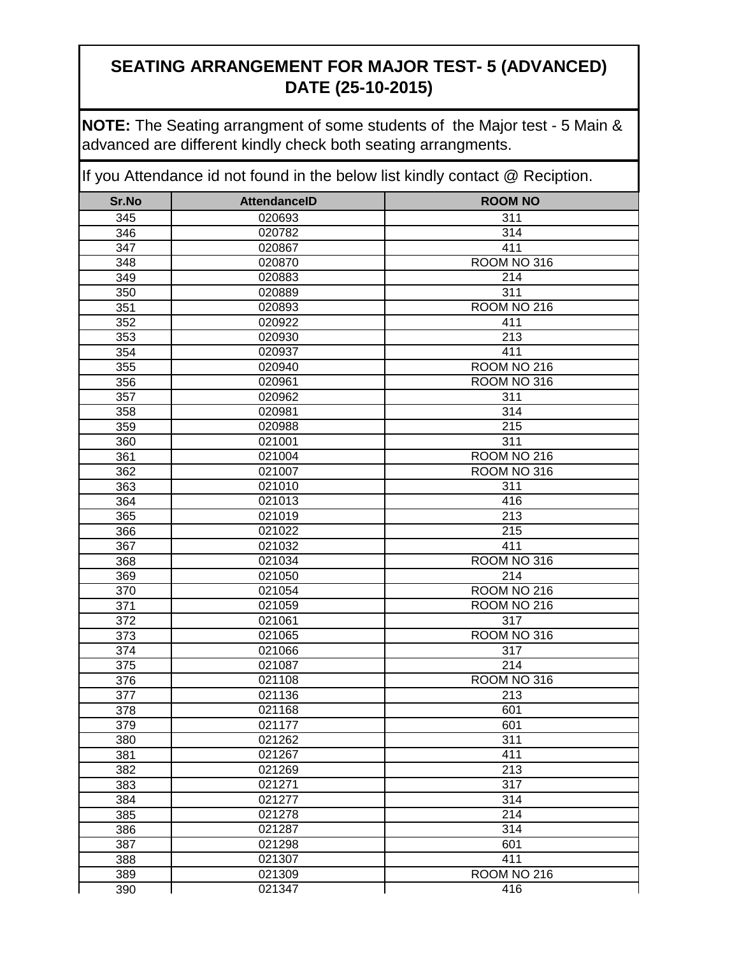**NOTE:** The Seating arrangment of some students of the Major test - 5 Main & advanced are different kindly check both seating arrangments.

| Sr.No      | <b>AttendanceID</b> | <b>ROOM NO</b>     |
|------------|---------------------|--------------------|
| 345        | 020693              | 311                |
| 346        | 020782              | 314                |
| 347        | 020867              | 411                |
| 348        | 020870              | ROOM NO 316        |
| 349        | 020883              | 214                |
| 350        | 020889              | 311                |
| 351        | 020893              | ROOM NO 216        |
| 352        | 020922              | 411                |
| 353        | 020930              | 213                |
| 354        | 020937              | 411                |
| 355        | 020940              | ROOM NO 216        |
| 356        | 020961              | ROOM NO 316        |
| 357        | 020962              | 311                |
| 358        | 020981              | 314                |
| 359        | 020988              | 215                |
| 360        | 021001              | 311                |
| 361        | 021004              | ROOM NO 216        |
| 362        | 021007              | ROOM NO 316        |
| 363        | 021010              | 311                |
| 364        | 021013              | 416                |
| 365        | 021019              | 213                |
| 366        | 021022              | $\overline{215}$   |
| 367        | 021032              | 411                |
| 368        | 021034              | ROOM NO 316        |
| 369        | 021050              | $\overline{214}$   |
| 370        | 021054              | ROOM NO 216        |
| 371        | 021059              | ROOM NO 216<br>317 |
| 372        | 021061<br>021065    | ROOM NO 316        |
| 373        | 021066              | 317                |
| 374<br>375 | 021087              | 214                |
| 376        | 021108              | ROOM NO 316        |
| 377        | 021136              | $\overline{2}$ 13  |
| 378        | 021168              | 601                |
| 379        | 021177              | 601                |
| 380        | 021262              | 311                |
| 381        | 021267              | 411                |
| 382        | 021269              | 213                |
| 383        | 021271              | 317                |
| 384        | 021277              | 314                |
| 385        | 021278              | 214                |
| 386        | 021287              | 314                |
| 387        | 021298              | 601                |
| 388        | 021307              | 411                |
| 389        | 021309              | ROOM NO 216        |
| 390        | 021347              | 416                |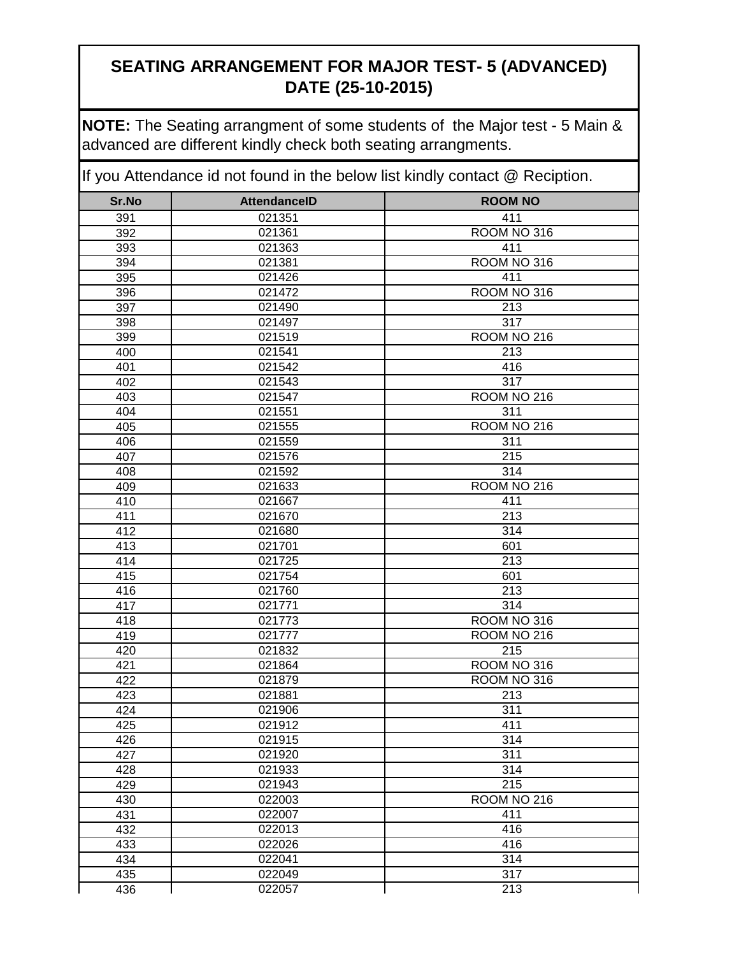**NOTE:** The Seating arrangment of some students of the Major test - 5 Main & advanced are different kindly check both seating arrangments.

| 021351<br>411<br>391<br>ROOM NO 316<br>392<br>021361<br>021363<br>411<br>393<br>ROOM NO 316<br>021381<br>394<br>395<br>021426<br>411<br>ROOM NO 316<br>396<br>021472<br>397<br>213<br>021490<br>317<br>021497<br>398<br>021519<br>ROOM NO 216<br>399<br>213<br>021541<br>400<br>401<br>021542<br>416<br>402<br>021543<br>317<br>403<br>ROOM NO 216<br>021547<br>404<br>311<br>021551<br>405<br>ROOM NO 216<br>021555<br>406<br>021559<br>311<br>407<br>215<br>021576<br>408<br>314<br>021592<br>409<br>021633<br>ROOM NO 216<br>410<br>021667<br>411<br>411<br>021670<br>213<br>412<br>314<br>021680<br>021701<br>601<br>413<br>$\overline{213}$<br>414<br>021725<br>415<br>021754<br>601<br>416<br>021760<br>213<br>314<br>417<br>021771<br>418<br>021773<br>ROOM NO 316<br>419<br>021777<br>ROOM <sub>NO</sub> 216<br>215<br>021832<br>420<br>421<br>ROOM NO 316<br>021864<br>ROOM NO 316<br>422<br>021879<br>213<br>423<br>021881<br>311<br>424<br>021906<br>411<br>021912<br>425<br>426<br>021915<br>314<br>427<br>311<br>021920<br>428<br>314<br>021933<br>215<br>429<br>021943<br>ROOM NO 216<br>430<br>022003<br>431<br>411<br>022007<br>432<br>022013<br>416<br>433<br>022026<br>416<br>434<br>022041<br>314<br>022049<br>317<br>435 | Sr.No | <b>AttendanceID</b> | <b>ROOM NO</b>   |
|----------------------------------------------------------------------------------------------------------------------------------------------------------------------------------------------------------------------------------------------------------------------------------------------------------------------------------------------------------------------------------------------------------------------------------------------------------------------------------------------------------------------------------------------------------------------------------------------------------------------------------------------------------------------------------------------------------------------------------------------------------------------------------------------------------------------------------------------------------------------------------------------------------------------------------------------------------------------------------------------------------------------------------------------------------------------------------------------------------------------------------------------------------------------------------------------------------------------------------------------|-------|---------------------|------------------|
|                                                                                                                                                                                                                                                                                                                                                                                                                                                                                                                                                                                                                                                                                                                                                                                                                                                                                                                                                                                                                                                                                                                                                                                                                                              |       |                     |                  |
|                                                                                                                                                                                                                                                                                                                                                                                                                                                                                                                                                                                                                                                                                                                                                                                                                                                                                                                                                                                                                                                                                                                                                                                                                                              |       |                     |                  |
|                                                                                                                                                                                                                                                                                                                                                                                                                                                                                                                                                                                                                                                                                                                                                                                                                                                                                                                                                                                                                                                                                                                                                                                                                                              |       |                     |                  |
|                                                                                                                                                                                                                                                                                                                                                                                                                                                                                                                                                                                                                                                                                                                                                                                                                                                                                                                                                                                                                                                                                                                                                                                                                                              |       |                     |                  |
|                                                                                                                                                                                                                                                                                                                                                                                                                                                                                                                                                                                                                                                                                                                                                                                                                                                                                                                                                                                                                                                                                                                                                                                                                                              |       |                     |                  |
|                                                                                                                                                                                                                                                                                                                                                                                                                                                                                                                                                                                                                                                                                                                                                                                                                                                                                                                                                                                                                                                                                                                                                                                                                                              |       |                     |                  |
|                                                                                                                                                                                                                                                                                                                                                                                                                                                                                                                                                                                                                                                                                                                                                                                                                                                                                                                                                                                                                                                                                                                                                                                                                                              |       |                     |                  |
|                                                                                                                                                                                                                                                                                                                                                                                                                                                                                                                                                                                                                                                                                                                                                                                                                                                                                                                                                                                                                                                                                                                                                                                                                                              |       |                     |                  |
|                                                                                                                                                                                                                                                                                                                                                                                                                                                                                                                                                                                                                                                                                                                                                                                                                                                                                                                                                                                                                                                                                                                                                                                                                                              |       |                     |                  |
|                                                                                                                                                                                                                                                                                                                                                                                                                                                                                                                                                                                                                                                                                                                                                                                                                                                                                                                                                                                                                                                                                                                                                                                                                                              |       |                     |                  |
|                                                                                                                                                                                                                                                                                                                                                                                                                                                                                                                                                                                                                                                                                                                                                                                                                                                                                                                                                                                                                                                                                                                                                                                                                                              |       |                     |                  |
|                                                                                                                                                                                                                                                                                                                                                                                                                                                                                                                                                                                                                                                                                                                                                                                                                                                                                                                                                                                                                                                                                                                                                                                                                                              |       |                     |                  |
|                                                                                                                                                                                                                                                                                                                                                                                                                                                                                                                                                                                                                                                                                                                                                                                                                                                                                                                                                                                                                                                                                                                                                                                                                                              |       |                     |                  |
|                                                                                                                                                                                                                                                                                                                                                                                                                                                                                                                                                                                                                                                                                                                                                                                                                                                                                                                                                                                                                                                                                                                                                                                                                                              |       |                     |                  |
|                                                                                                                                                                                                                                                                                                                                                                                                                                                                                                                                                                                                                                                                                                                                                                                                                                                                                                                                                                                                                                                                                                                                                                                                                                              |       |                     |                  |
|                                                                                                                                                                                                                                                                                                                                                                                                                                                                                                                                                                                                                                                                                                                                                                                                                                                                                                                                                                                                                                                                                                                                                                                                                                              |       |                     |                  |
|                                                                                                                                                                                                                                                                                                                                                                                                                                                                                                                                                                                                                                                                                                                                                                                                                                                                                                                                                                                                                                                                                                                                                                                                                                              |       |                     |                  |
|                                                                                                                                                                                                                                                                                                                                                                                                                                                                                                                                                                                                                                                                                                                                                                                                                                                                                                                                                                                                                                                                                                                                                                                                                                              |       |                     |                  |
|                                                                                                                                                                                                                                                                                                                                                                                                                                                                                                                                                                                                                                                                                                                                                                                                                                                                                                                                                                                                                                                                                                                                                                                                                                              |       |                     |                  |
|                                                                                                                                                                                                                                                                                                                                                                                                                                                                                                                                                                                                                                                                                                                                                                                                                                                                                                                                                                                                                                                                                                                                                                                                                                              |       |                     |                  |
|                                                                                                                                                                                                                                                                                                                                                                                                                                                                                                                                                                                                                                                                                                                                                                                                                                                                                                                                                                                                                                                                                                                                                                                                                                              |       |                     |                  |
|                                                                                                                                                                                                                                                                                                                                                                                                                                                                                                                                                                                                                                                                                                                                                                                                                                                                                                                                                                                                                                                                                                                                                                                                                                              |       |                     |                  |
|                                                                                                                                                                                                                                                                                                                                                                                                                                                                                                                                                                                                                                                                                                                                                                                                                                                                                                                                                                                                                                                                                                                                                                                                                                              |       |                     |                  |
|                                                                                                                                                                                                                                                                                                                                                                                                                                                                                                                                                                                                                                                                                                                                                                                                                                                                                                                                                                                                                                                                                                                                                                                                                                              |       |                     |                  |
|                                                                                                                                                                                                                                                                                                                                                                                                                                                                                                                                                                                                                                                                                                                                                                                                                                                                                                                                                                                                                                                                                                                                                                                                                                              |       |                     |                  |
|                                                                                                                                                                                                                                                                                                                                                                                                                                                                                                                                                                                                                                                                                                                                                                                                                                                                                                                                                                                                                                                                                                                                                                                                                                              |       |                     |                  |
|                                                                                                                                                                                                                                                                                                                                                                                                                                                                                                                                                                                                                                                                                                                                                                                                                                                                                                                                                                                                                                                                                                                                                                                                                                              |       |                     |                  |
|                                                                                                                                                                                                                                                                                                                                                                                                                                                                                                                                                                                                                                                                                                                                                                                                                                                                                                                                                                                                                                                                                                                                                                                                                                              |       |                     |                  |
|                                                                                                                                                                                                                                                                                                                                                                                                                                                                                                                                                                                                                                                                                                                                                                                                                                                                                                                                                                                                                                                                                                                                                                                                                                              |       |                     |                  |
|                                                                                                                                                                                                                                                                                                                                                                                                                                                                                                                                                                                                                                                                                                                                                                                                                                                                                                                                                                                                                                                                                                                                                                                                                                              |       |                     |                  |
|                                                                                                                                                                                                                                                                                                                                                                                                                                                                                                                                                                                                                                                                                                                                                                                                                                                                                                                                                                                                                                                                                                                                                                                                                                              |       |                     |                  |
|                                                                                                                                                                                                                                                                                                                                                                                                                                                                                                                                                                                                                                                                                                                                                                                                                                                                                                                                                                                                                                                                                                                                                                                                                                              |       |                     |                  |
|                                                                                                                                                                                                                                                                                                                                                                                                                                                                                                                                                                                                                                                                                                                                                                                                                                                                                                                                                                                                                                                                                                                                                                                                                                              |       |                     |                  |
|                                                                                                                                                                                                                                                                                                                                                                                                                                                                                                                                                                                                                                                                                                                                                                                                                                                                                                                                                                                                                                                                                                                                                                                                                                              |       |                     |                  |
|                                                                                                                                                                                                                                                                                                                                                                                                                                                                                                                                                                                                                                                                                                                                                                                                                                                                                                                                                                                                                                                                                                                                                                                                                                              |       |                     |                  |
|                                                                                                                                                                                                                                                                                                                                                                                                                                                                                                                                                                                                                                                                                                                                                                                                                                                                                                                                                                                                                                                                                                                                                                                                                                              |       |                     |                  |
|                                                                                                                                                                                                                                                                                                                                                                                                                                                                                                                                                                                                                                                                                                                                                                                                                                                                                                                                                                                                                                                                                                                                                                                                                                              |       |                     |                  |
|                                                                                                                                                                                                                                                                                                                                                                                                                                                                                                                                                                                                                                                                                                                                                                                                                                                                                                                                                                                                                                                                                                                                                                                                                                              |       |                     |                  |
|                                                                                                                                                                                                                                                                                                                                                                                                                                                                                                                                                                                                                                                                                                                                                                                                                                                                                                                                                                                                                                                                                                                                                                                                                                              |       |                     |                  |
|                                                                                                                                                                                                                                                                                                                                                                                                                                                                                                                                                                                                                                                                                                                                                                                                                                                                                                                                                                                                                                                                                                                                                                                                                                              |       |                     |                  |
|                                                                                                                                                                                                                                                                                                                                                                                                                                                                                                                                                                                                                                                                                                                                                                                                                                                                                                                                                                                                                                                                                                                                                                                                                                              |       |                     |                  |
|                                                                                                                                                                                                                                                                                                                                                                                                                                                                                                                                                                                                                                                                                                                                                                                                                                                                                                                                                                                                                                                                                                                                                                                                                                              |       |                     |                  |
|                                                                                                                                                                                                                                                                                                                                                                                                                                                                                                                                                                                                                                                                                                                                                                                                                                                                                                                                                                                                                                                                                                                                                                                                                                              |       |                     |                  |
|                                                                                                                                                                                                                                                                                                                                                                                                                                                                                                                                                                                                                                                                                                                                                                                                                                                                                                                                                                                                                                                                                                                                                                                                                                              |       |                     |                  |
|                                                                                                                                                                                                                                                                                                                                                                                                                                                                                                                                                                                                                                                                                                                                                                                                                                                                                                                                                                                                                                                                                                                                                                                                                                              | 436   | 022057              | $\overline{213}$ |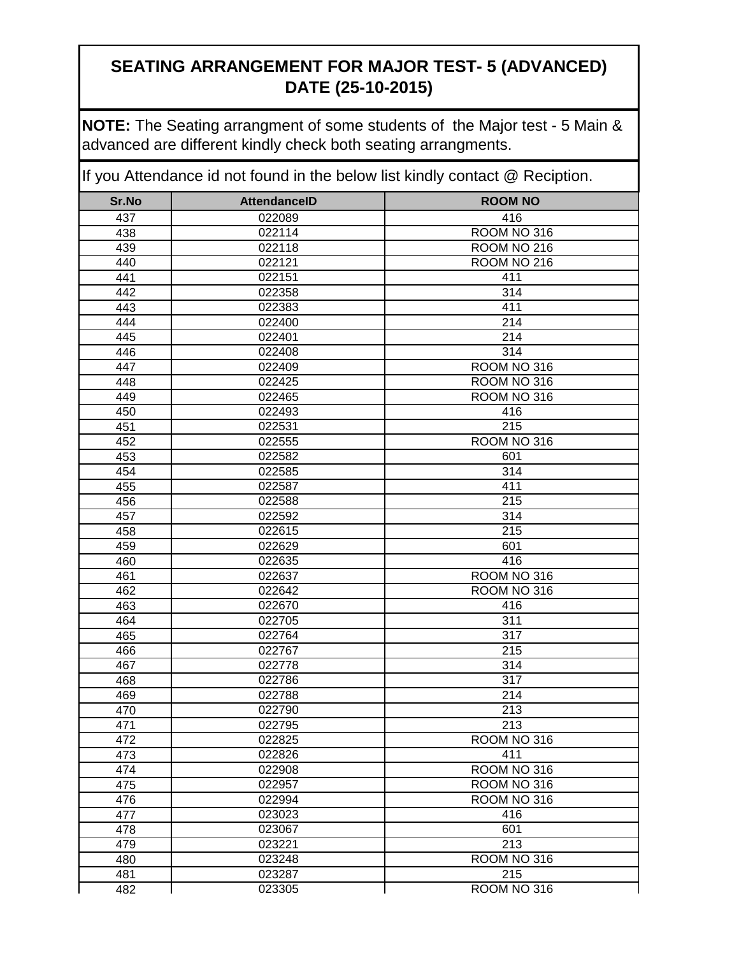**NOTE:** The Seating arrangment of some students of the Major test - 5 Main & advanced are different kindly check both seating arrangments.

| Sr.No      | <b>AttendanceID</b> | <b>ROOM NO</b>   |
|------------|---------------------|------------------|
| 437        | 022089              | 416              |
| 438        | 022114              | ROOM NO 316      |
| 439        | 022118              | ROOM NO 216      |
| 440        | 022121              | ROOM NO 216      |
| 441        | 022151              | 411              |
| 442        | 022358              | 314              |
| 443        | 022383              | 411              |
| 444        | 022400              | 214              |
| 445        | 022401              | 214              |
| 446        | 022408              | 314              |
| 447        | 022409              | ROOM NO 316      |
| 448        | 022425              | ROOM NO 316      |
| 449        | 022465              | ROOM NO 316      |
| 450        | 022493              | 416              |
| 451        | 022531              | 215              |
| 452        | 022555              | ROOM NO 316      |
| 453        | 022582              | 601              |
| 454        | 022585              | 314              |
| 455        | 022587              | 411              |
| 456        | 022588              | 215              |
| 457        | 022592              | $\overline{314}$ |
| 458        | 022615              | $\overline{215}$ |
| 459        | 022629              | 601              |
| 460        | 022635              | 416              |
| 461        | 022637              | ROOM NO 316      |
| 462        | 022642              | ROOM NO 316      |
| 463        | 022670<br>022705    | 416<br>311       |
| 464<br>465 | 022764              | 317              |
| 466        | 022767              | 215              |
| 467        | 022778              | 314              |
| 468        | 022786              | 317              |
| 469        | 022788              | 214              |
| 470        | 022790              | 213              |
| 471        | 022795              | 213              |
| 472        | 022825              | ROOM NO 316      |
| 473        | 022826              | 411              |
| 474        | 022908              | ROOM NO 316      |
| 475        | 022957              | ROOM NO 316      |
| 476        | 022994              | ROOM NO 316      |
| 477        | 023023              | 416              |
| 478        | 023067              | 601              |
| 479        | 023221              | 213              |
| 480        | 023248              | ROOM NO 316      |
| 481        | 023287              | 215              |
| 482        | 023305              | ROOM NO 316      |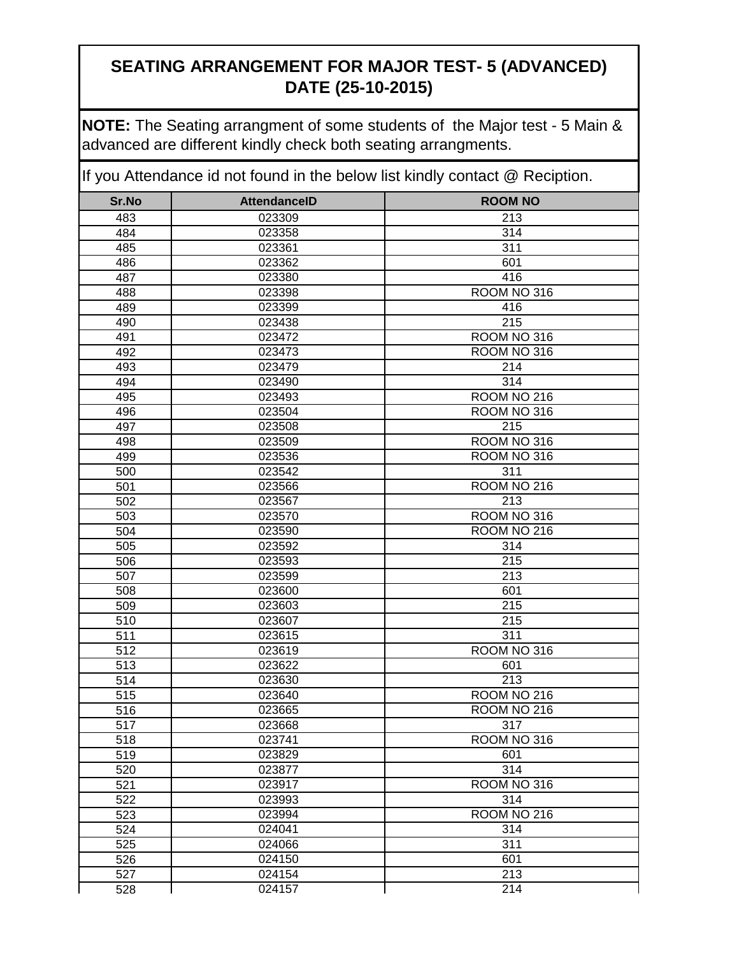**NOTE:** The Seating arrangment of some students of the Major test - 5 Main & advanced are different kindly check both seating arrangments.

| Sr.No      | <b>AttendanceID</b> | <b>ROOM NO</b>         |
|------------|---------------------|------------------------|
| 483        | 023309              | 213                    |
| 484        | 023358              | 314                    |
| 485        | 023361              | 311                    |
| 486        | 023362              | 601                    |
| 487        | 023380              | 416                    |
| 488        | 023398              | ROOM NO 316            |
| 489        | 023399              | 416                    |
| 490        | 023438              | 215                    |
| 491        | 023472              | ROOM NO 316            |
| 492        | 023473              | ROOM NO 316            |
| 493        | 023479              | 214                    |
| 494        | 023490              | 314                    |
| 495        | 023493              | ROOM NO 216            |
| 496        | 023504              | ROOM NO 316            |
| 497        | 023508              | 215                    |
| 498        | 023509              | ROOM NO 316            |
| 499        | 023536              | ROOM <sub>NO</sub> 316 |
| 500        | 023542              | 311                    |
| 501        | 023566              | ROOM NO 216            |
| 502        | 023567              | 213                    |
| 503        | 023570              | ROOM NO 316            |
| 504        | 023590              | <b>ROOM NO 216</b>     |
| 505        | 023592              | 314                    |
| 506        | 023593              | $\overline{215}$       |
| 507        | 023599              | 213                    |
| 508        | 023600              | 601                    |
| 509        | 023603              | 215                    |
| 510        | 023607              | 215<br>311             |
| 511<br>512 | 023615<br>023619    | ROOM NO 316            |
| 513        | 023622              | 601                    |
| 514        | 023630              | 213                    |
| 515        | 023640              | ROOM NO 216            |
| 516        | 023665              | ROOM NO 216            |
| 517        | 023668              | 317                    |
| 518        | 023741              | ROOM NO 316            |
| 519        | 023829              | 601                    |
| 520        | 023877              | 314                    |
| 521        | 023917              | ROOM NO 316            |
| 522        | 023993              | 314                    |
| 523        | 023994              | ROOM NO 216            |
| 524        | 024041              | 314                    |
| 525        | 024066              | 311                    |
| 526        | 024150              | 601                    |
| 527        | 024154              | $\overline{213}$       |
| 528        | 024157              | 214                    |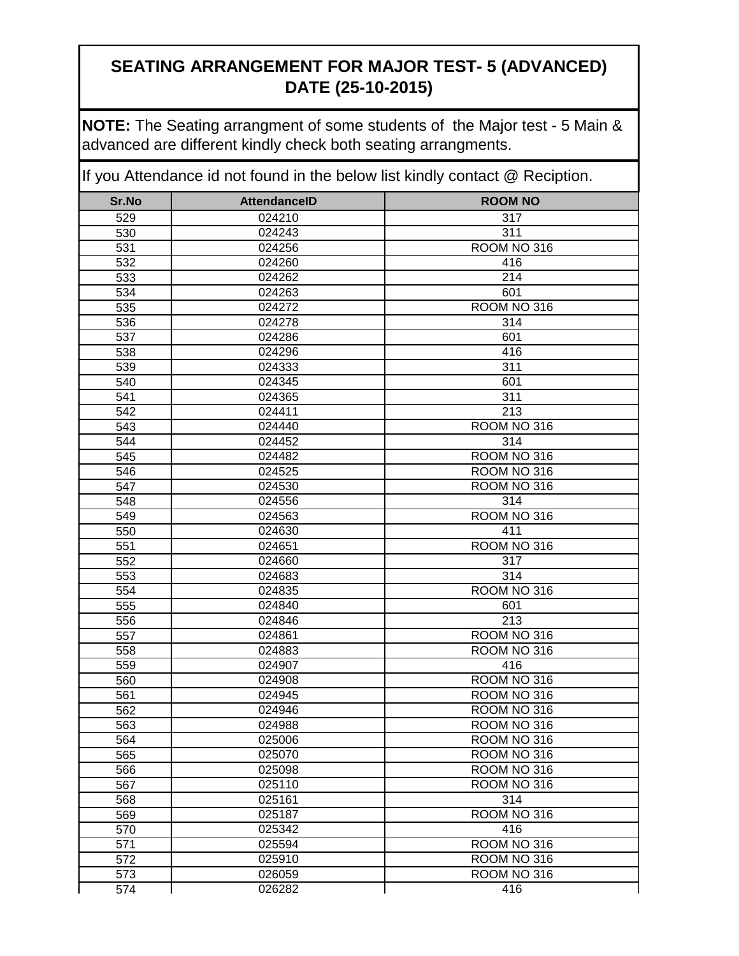**NOTE:** The Seating arrangment of some students of the Major test - 5 Main & advanced are different kindly check both seating arrangments.

| Sr.No                   | <b>AttendanceID</b> | <b>ROOM NO</b>             |
|-------------------------|---------------------|----------------------------|
| 529                     | 024210              | 317                        |
| 530                     | 024243              | 311                        |
| 531                     | 024256              | ROOM NO 316                |
| 532                     | 024260              | 416                        |
| 533                     | 024262              | 214                        |
| 534                     | 024263              | 601                        |
| 535                     | 024272              | ROOM NO 316                |
| 536                     | 024278              | 314                        |
| 537                     | 024286              | 601                        |
| 538                     | 024296              | 416                        |
| 539                     | 024333              | 311                        |
| 540                     | 024345              | 601                        |
| 541                     | 024365              | 311                        |
| $\overline{542}$        | 024411              | $\overline{213}$           |
| 543                     | 024440              | ROOM NO 316                |
| 544                     | 024452              | 314                        |
| 545                     | 024482              | ROOM NO 316                |
| 546                     | 024525              | ROOM NO 316                |
| 547                     | 024530              | ROOM NO 316                |
| 548                     | 024556              | 314                        |
| 549                     | 024563              | ROOM NO 316                |
| 550                     | 024630              | 411                        |
| 551                     | 024651              | ROOM NO 316                |
| 552                     | 024660              | 317                        |
| 553                     | 024683              | 314                        |
| 554                     | 024835              | ROOM NO 316                |
| 555                     | 024840              | 601                        |
| 556                     | 024846              | 213                        |
| 557                     | 024861              | ROOM NO 316                |
| 558                     | 024883              | ROOM NO 316                |
| 559                     | 024907              | 416                        |
| 560                     | 024908              | ROOM NO 316                |
| 561                     | 024945              | ROOM NO 316                |
| 562                     | 024946              | ROOM NO 316                |
| 563                     | 024988              | ROOM NO 316                |
| 564                     | 025006              | ROOM NO 316                |
| 565                     | 025070              | ROOM NO 316                |
| 566                     | 025098              | ROOM NO 316                |
| 567                     | 025110              | ROOM NO 316                |
| 568                     | 025161              | 314                        |
| 569                     | 025187              | ROOM NO 316                |
| 570                     | 025342              | 416                        |
| 571<br>$\overline{572}$ | 025594              | ROOM NO 316                |
|                         | 025910              | ROOM NO 316<br>ROOM NO 316 |
| 573                     | 026059<br>026282    | 416                        |
| 574                     |                     |                            |